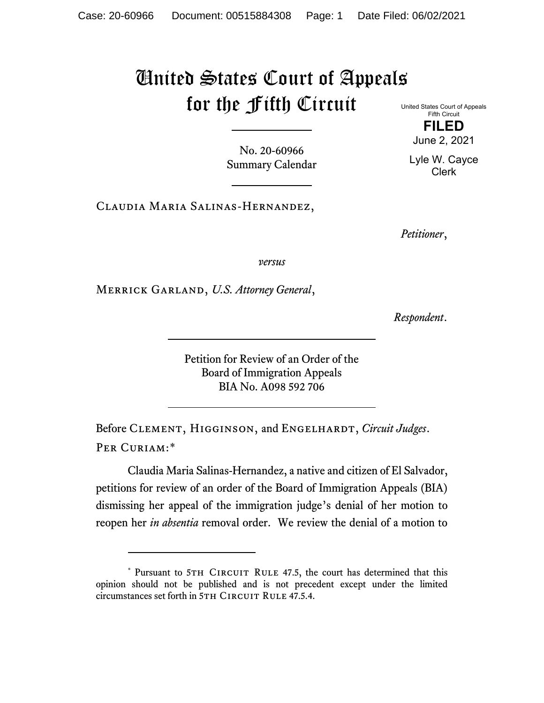# United States Court of Appeals for the Fifth Circuit

No. 20-60966 Summary Calendar United States Court of Appeals Fifth Circuit **FILED**

June 2, 2021

Lyle W. Cayce Clerk

Claudia Maria Salinas-Hernandez,

*Petitioner*,

*versus*

Merrick Garland, *U.S. Attorney General*,

*Respondent*.

Petition for Review of an Order of the Board of Immigration Appeals BIA No. A098 592 706

Before CLEMENT, HIGGINSON, and ENGELHARDT, *Circuit Judges*. Per Curiam:[\\*](#page-0-0)

Claudia Maria Salinas-Hernandez, a native and citizen of El Salvador, petitions for review of an order of the Board of Immigration Appeals (BIA) dismissing her appeal of the immigration judge's denial of her motion to reopen her *in absentia* removal order. We review the denial of a motion to

<span id="page-0-0"></span><sup>\*</sup> Pursuant to 5TH CIRCUIT RULE 47.5, the court has determined that this opinion should not be published and is not precedent except under the limited circumstances set forth in 5TH CIRCUIT RULE 47.5.4.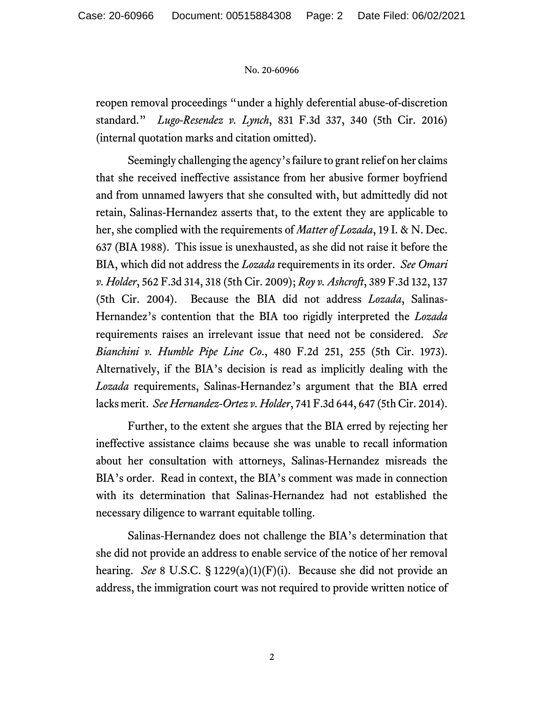#### No. 20-60966

reopen removal proceedings "under a highly deferential abuse-of-discretion standard." *Lugo-Resendez v. Lynch*, 831 F.3d 337, 340 (5th Cir. 2016) (internal quotation marks and citation omitted).

Seemingly challenging the agency's failure to grant relief on her claims that she received ineffective assistance from her abusive former boyfriend and from unnamed lawyers that she consulted with, but admittedly did not retain, Salinas-Hernandez asserts that, to the extent they are applicable to her, she complied with the requirements of *Matter of Lozada*, 19 I. & N. Dec. 637 (BIA 1988). This issue is unexhausted, as she did not raise it before the BIA, which did not address the *Lozada* requirements in its order. *See Omari v. Holder*, 562 F.3d 314, 318 (5th Cir. 2009); *Roy v. Ashcroft*, 389 F.3d 132, 137 (5th Cir. 2004). Because the BIA did not address *Lozada*, Salinas-Hernandez's contention that the BIA too rigidly interpreted the *Lozada* requirements raises an irrelevant issue that need not be considered. *See Bianchini v. Humble Pipe Line Co*., 480 F.2d 251, 255 (5th Cir. 1973). Alternatively, if the BIA's decision is read as implicitly dealing with the *Lozada* requirements, Salinas-Hernandez's argument that the BIA erred lacks merit. *See Hernandez-Ortez v. Holder*, 741 F.3d 644, 647 (5th Cir. 2014).

Further, to the extent she argues that the BIA erred by rejecting her ineffective assistance claims because she was unable to recall information about her consultation with attorneys, Salinas-Hernandez misreads the BIA's order. Read in context, the BIA's comment was made in connection with its determination that Salinas-Hernandez had not established the necessary diligence to warrant equitable tolling.

Salinas-Hernandez does not challenge the BIA's determination that she did not provide an address to enable service of the notice of her removal hearing. *See* 8 U.S.C. § 1229(a)(1)(F)(i). Because she did not provide an address, the immigration court was not required to provide written notice of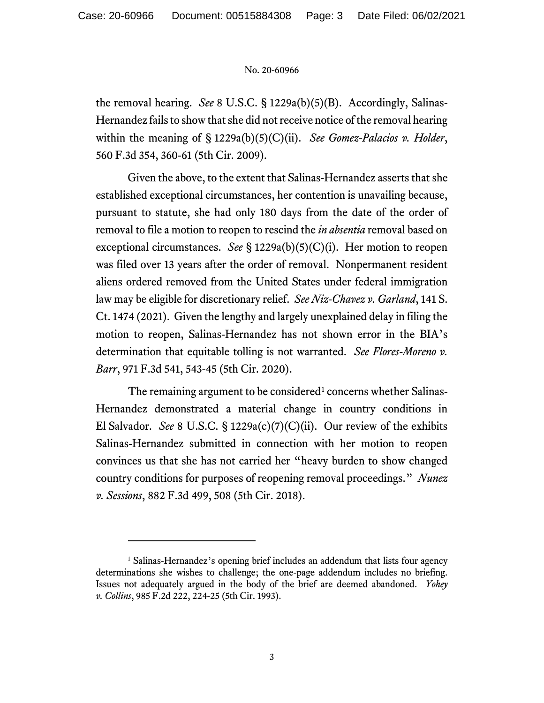#### No. 20-60966

the removal hearing. *See* 8 U.S.C. § 1229a(b)(5)(B). Accordingly, Salinas-Hernandez fails to show that she did not receive notice of the removal hearing within the meaning of § 1229a(b)(5)(C)(ii). *See Gomez-Palacios v. Holder*, 560 F.3d 354, 360-61 (5th Cir. 2009).

Given the above, to the extent that Salinas-Hernandez asserts that she established exceptional circumstances, her contention is unavailing because, pursuant to statute, she had only 180 days from the date of the order of removal to file a motion to reopen to rescind the *in absentia* removal based on exceptional circumstances. *See* § 1229a(b)(5)(C)(i). Her motion to reopen was filed over 13 years after the order of removal. Nonpermanent resident aliens ordered removed from the United States under federal immigration law may be eligible for discretionary relief. *See Niz-Chavez v. Garland*, 141 S. Ct. 1474 (2021). Given the lengthy and largely unexplained delay in filing the motion to reopen, Salinas-Hernandez has not shown error in the BIA's determination that equitable tolling is not warranted. *See Flores-Moreno v. Barr*, 971 F.3d 541, 543-45 (5th Cir. 2020).

The remaining argument to be considered<sup>[1](#page-2-0)</sup> concerns whether Salinas-Hernandez demonstrated a material change in country conditions in El Salvador. *See* 8 U.S.C. § 1229a(c)(7)(C)(ii). Our review of the exhibits Salinas-Hernandez submitted in connection with her motion to reopen convinces us that she has not carried her "heavy burden to show changed country conditions for purposes of reopening removal proceedings." *Nunez v. Sessions*, 882 F.3d 499, 508 (5th Cir. 2018).

<span id="page-2-0"></span><sup>&</sup>lt;sup>1</sup> Salinas-Hernandez's opening brief includes an addendum that lists four agency determinations she wishes to challenge; the one-page addendum includes no briefing. Issues not adequately argued in the body of the brief are deemed abandoned. *Yohey v. Collins*, 985 F.2d 222, 224-25 (5th Cir. 1993).